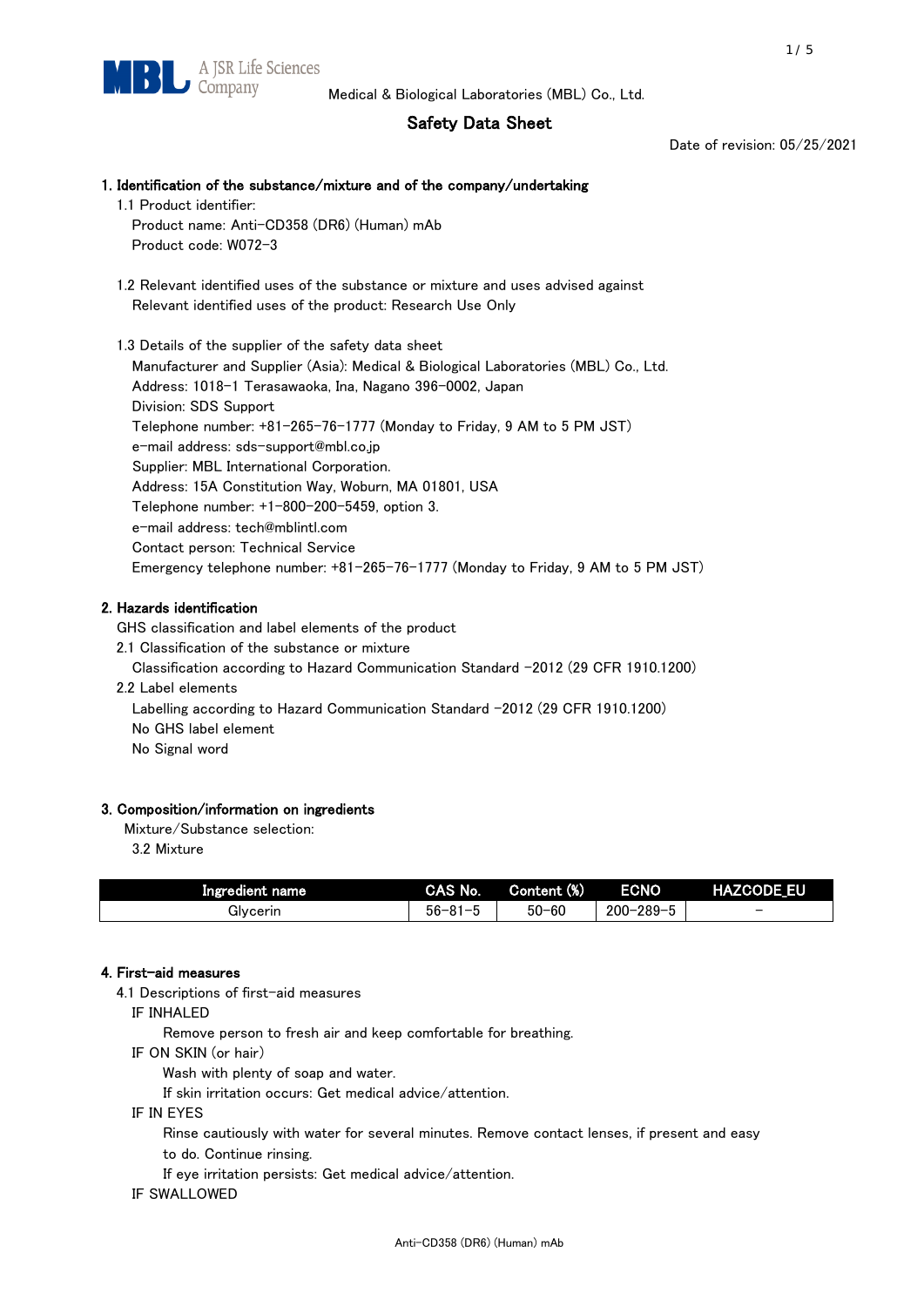## Safety Data Sheet

Date of revision: 05/25/2021

# 1. Identification of the substance/mixture and of the company/undertaking 1.1 Product identifier: Product name: Anti-CD358 (DR6) (Human) mAb Product code: W072-3 1.2 Relevant identified uses of the substance or mixture and uses advised against Relevant identified uses of the product: Research Use Only 1.3 Details of the supplier of the safety data sheet

Manufacturer and Supplier (Asia): Medical & Biological Laboratories (MBL) Co., Ltd. Address: 1018-1 Terasawaoka, Ina, Nagano 396-0002, Japan Division: SDS Support Telephone number: +81-265-76-1777 (Monday to Friday, 9 AM to 5 PM JST) e-mail address: sds-support@mbl.co.jp Supplier: MBL International Corporation. Address: 15A Constitution Way, Woburn, MA 01801, USA Telephone number: +1-800-200-5459, option 3. e-mail address: tech@mblintl.com Contact person: Technical Service Emergency telephone number: +81-265-76-1777 (Monday to Friday, 9 AM to 5 PM JST)

## 2. Hazards identification

GHS classification and label elements of the product

2.1 Classification of the substance or mixture

Classification according to Hazard Communication Standard -2012 (29 CFR 1910.1200)

2.2 Label elements

Labelling according to Hazard Communication Standard -2012 (29 CFR 1910.1200) No GHS label element

No Signal word

## 3. Composition/information on ingredients

Mixture/Substance selection:

3.2 Mixture

| Ingredient name | CAS No.             | Content (%) | <b>ECNO</b>                                              | <b>HAZCODE_EU</b>        |
|-----------------|---------------------|-------------|----------------------------------------------------------|--------------------------|
| Glvcerin        | $56 - 81 -$<br>ິບ ເ | $50 - 60$   | $-289 - 1$<br>$200 - 2$<br>$\overline{\phantom{0}}$<br>v | $\overline{\phantom{0}}$ |

## 4. First-aid measures

4.1 Descriptions of first-aid measures

IF INHALED

Remove person to fresh air and keep comfortable for breathing.

IF ON SKIN (or hair)

Wash with plenty of soap and water.

If skin irritation occurs: Get medical advice/attention.

IF IN EYES

Rinse cautiously with water for several minutes. Remove contact lenses, if present and easy

to do. Continue rinsing.

If eye irritation persists: Get medical advice/attention.

IF SWALLOWED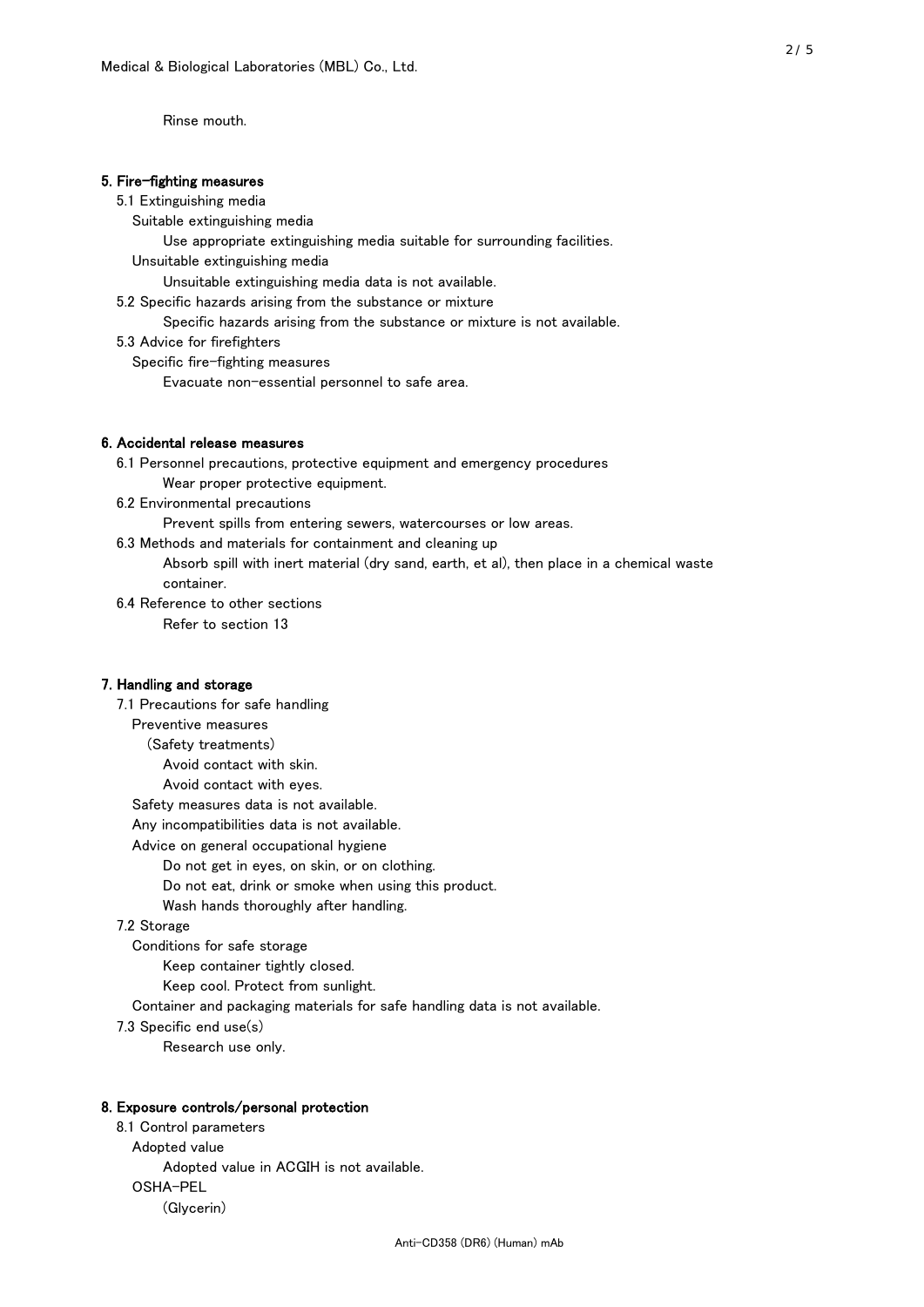Rinse mouth.

## 5. Fire-fighting measures

#### 5.1 Extinguishing media

Suitable extinguishing media

- Use appropriate extinguishing media suitable for surrounding facilities.
- Unsuitable extinguishing media

Unsuitable extinguishing media data is not available.

5.2 Specific hazards arising from the substance or mixture

Specific hazards arising from the substance or mixture is not available.

5.3 Advice for firefighters

Specific fire-fighting measures

Evacuate non-essential personnel to safe area.

#### 6. Accidental release measures

- 6.1 Personnel precautions, protective equipment and emergency procedures Wear proper protective equipment.
- 6.2 Environmental precautions

Prevent spills from entering sewers, watercourses or low areas.

6.3 Methods and materials for containment and cleaning up

- Absorb spill with inert material (dry sand, earth, et al), then place in a chemical waste container.
- 6.4 Reference to other sections

Refer to section 13

### 7. Handling and storage

 7.1 Precautions for safe handling Preventive measures (Safety treatments) Avoid contact with skin. Avoid contact with eyes. Safety measures data is not available. Any incompatibilities data is not available. Advice on general occupational hygiene Do not get in eyes, on skin, or on clothing. Do not eat, drink or smoke when using this product. Wash hands thoroughly after handling. 7.2 Storage Conditions for safe storage Keep container tightly closed.

Keep cool. Protect from sunlight.

Container and packaging materials for safe handling data is not available.

7.3 Specific end use(s)

Research use only.

#### 8. Exposure controls/personal protection

 8.1 Control parameters Adopted value Adopted value in ACGIH is not available. OSHA-PEL (Glycerin)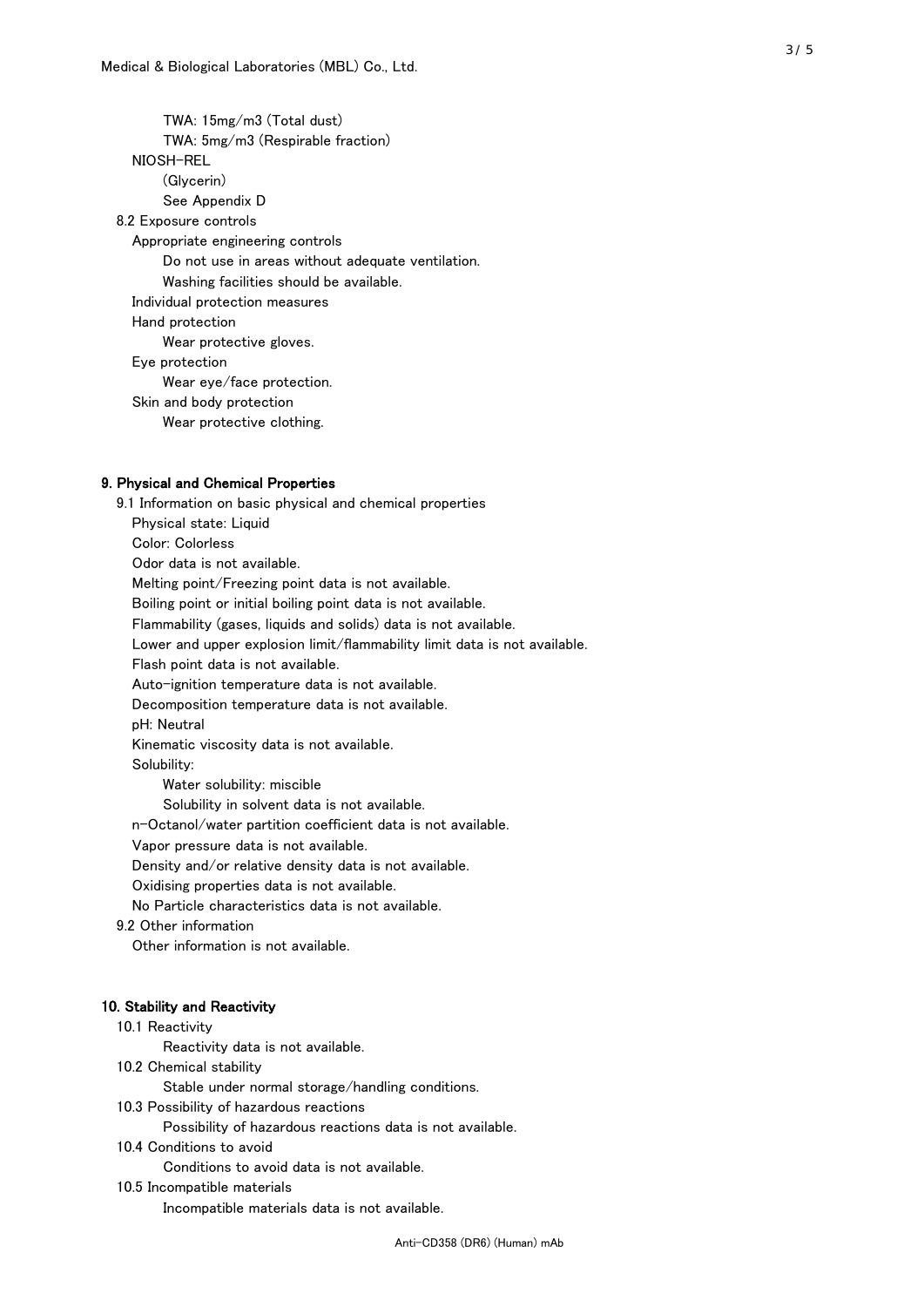TWA: 15mg/m3 (Total dust) TWA: 5mg/m3 (Respirable fraction) NIOSH-REL (Glycerin) See Appendix D 8.2 Exposure controls Appropriate engineering controls Do not use in areas without adequate ventilation. Washing facilities should be available. Individual protection measures Hand protection Wear protective gloves. Eye protection Wear eye/face protection. Skin and body protection Wear protective clothing.

## 9. Physical and Chemical Properties

 9.1 Information on basic physical and chemical properties Physical state: Liquid Color: Colorless Odor data is not available. Melting point/Freezing point data is not available. Boiling point or initial boiling point data is not available. Flammability (gases, liquids and solids) data is not available. Lower and upper explosion limit/flammability limit data is not available. Flash point data is not available. Auto-ignition temperature data is not available. Decomposition temperature data is not available. pH: Neutral Kinematic viscosity data is not available. Solubility: Water solubility: miscible Solubility in solvent data is not available. n-Octanol/water partition coefficient data is not available. Vapor pressure data is not available. Density and/or relative density data is not available. Oxidising properties data is not available. No Particle characteristics data is not available. 9.2 Other information Other information is not available. 10. Stability and Reactivity 10.1 Reactivity Reactivity data is not available. 10.2 Chemical stability

Stable under normal storage/handling conditions.

10.3 Possibility of hazardous reactions

Possibility of hazardous reactions data is not available.

10.4 Conditions to avoid

Conditions to avoid data is not available.

## 10.5 Incompatible materials

Incompatible materials data is not available.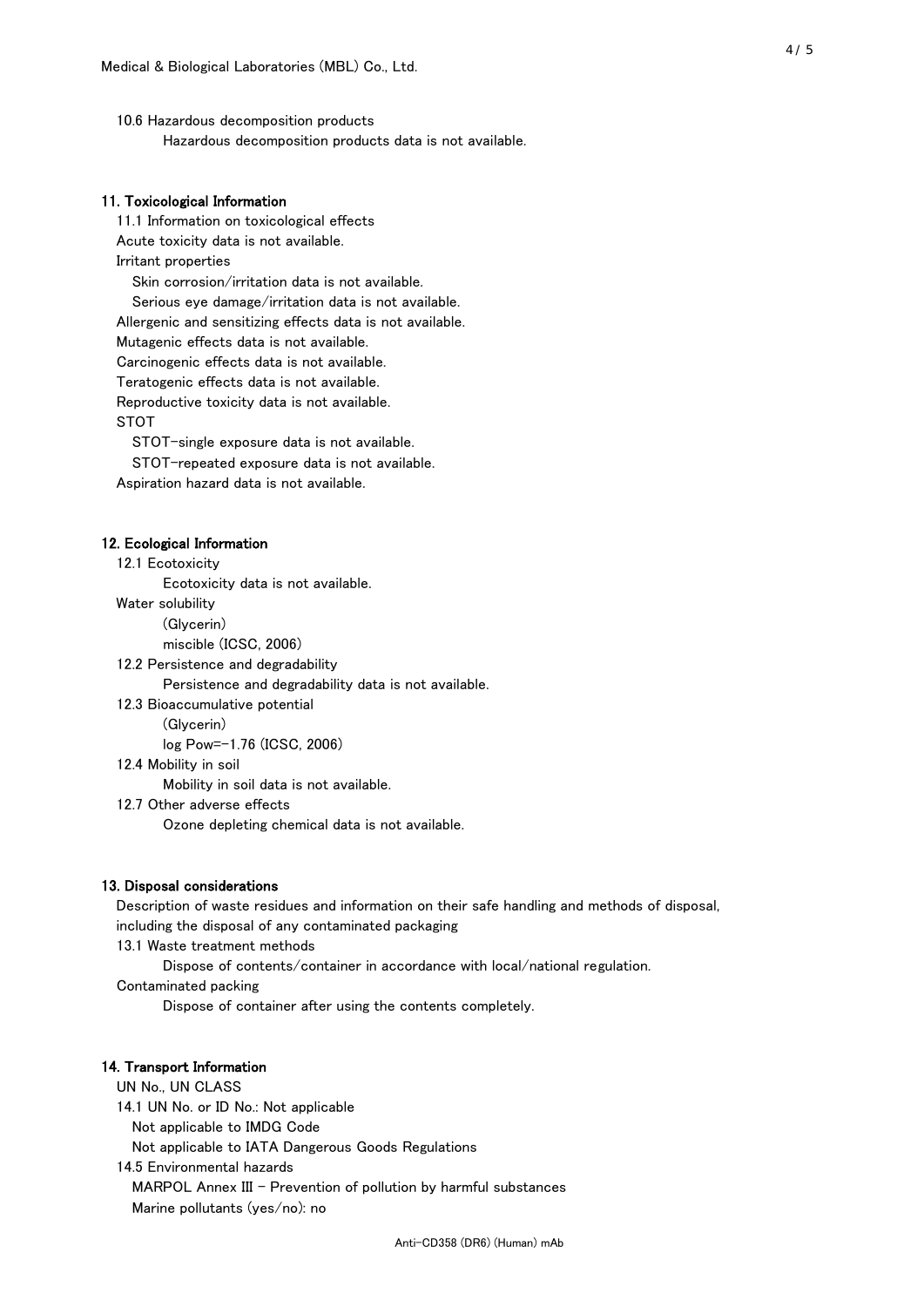10.6 Hazardous decomposition products Hazardous decomposition products data is not available.

## 11. Toxicological Information

 11.1 Information on toxicological effects Acute toxicity data is not available. Irritant properties Skin corrosion/irritation data is not available. Serious eye damage/irritation data is not available. Allergenic and sensitizing effects data is not available. Mutagenic effects data is not available. Carcinogenic effects data is not available. Teratogenic effects data is not available. Reproductive toxicity data is not available. STOT

STOT-single exposure data is not available.

STOT-repeated exposure data is not available.

Aspiration hazard data is not available.

#### 12. Ecological Information

12.1 Ecotoxicity

Ecotoxicity data is not available.

Water solubility

(Glycerin)

miscible (ICSC, 2006)

12.2 Persistence and degradability

Persistence and degradability data is not available.

12.3 Bioaccumulative potential

(Glycerin)

log Pow=-1.76 (ICSC, 2006)

12.4 Mobility in soil

Mobility in soil data is not available.

12.7 Other adverse effects

Ozone depleting chemical data is not available.

#### 13. Disposal considerations

 Description of waste residues and information on their safe handling and methods of disposal, including the disposal of any contaminated packaging

13.1 Waste treatment methods

Dispose of contents/container in accordance with local/national regulation.

Contaminated packing

Dispose of container after using the contents completely.

#### 14. Transport Information

 UN No., UN CLASS 14.1 UN No. or ID No.: Not applicable Not applicable to IMDG Code Not applicable to IATA Dangerous Goods Regulations

 14.5 Environmental hazards MARPOL Annex III - Prevention of pollution by harmful substances Marine pollutants (yes/no): no